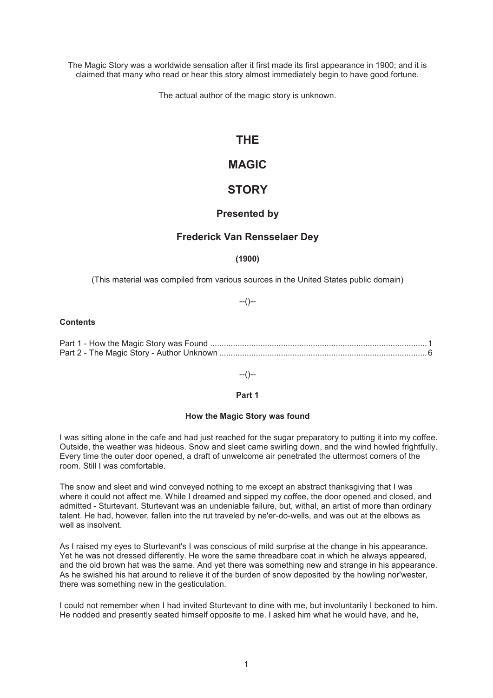The Magic Story was a worldwide sensation after it first made its first appearance in 1900; and it is claimed that many who read or hear this story almost immediately begin to have good fortune.

The actual author of the magic story is unknown.

# **THE**

# **MAGIC**

# **STORY**

# **Presented by**

# **Frederick Van Rensselaer Dey**

## **(1900)**

(This material was compiled from various sources in the United States public domain)

--()--

## **Contents**

Part 1 - How the Magic Story was Found ............................................................................................... 1 Part 2 - The Magic Story - Author Unknown ........................................................................................... 6

 $-(-1)$ 

## **Part 1**

## **How the Magic Story was found**

I was sitting alone in the cafe and had just reached for the sugar preparatory to putting it into my coffee. Outside, the weather was hideous. Snow and sleet came swirling down, and the wind howled frightfully. Every time the outer door opened, a draft of unwelcome air penetrated the uttermost corners of the room. Still I was comfortable.

The snow and sleet and wind conveyed nothing to me except an abstract thanksgiving that I was where it could not affect me. While I dreamed and sipped my coffee, the door opened and closed, and admitted - Sturtevant. Sturtevant was an undeniable failure, but, withal, an artist of more than ordinary talent. He had, however, fallen into the rut traveled by ne'er-do-wells, and was out at the elbows as well as insolvent.

As I raised my eyes to Sturtevant's I was conscious of mild surprise at the change in his appearance. Yet he was not dressed differently. He wore the same threadbare coat in which he always appeared, and the old brown hat was the same. And yet there was something new and strange in his appearance. As he swished his hat around to relieve it of the burden of snow deposited by the howling nor'wester, there was something new in the gesticulation.

I could not remember when I had invited Sturtevant to dine with me, but involuntarily I beckoned to him. He nodded and presently seated himself opposite to me. I asked him what he would have, and he,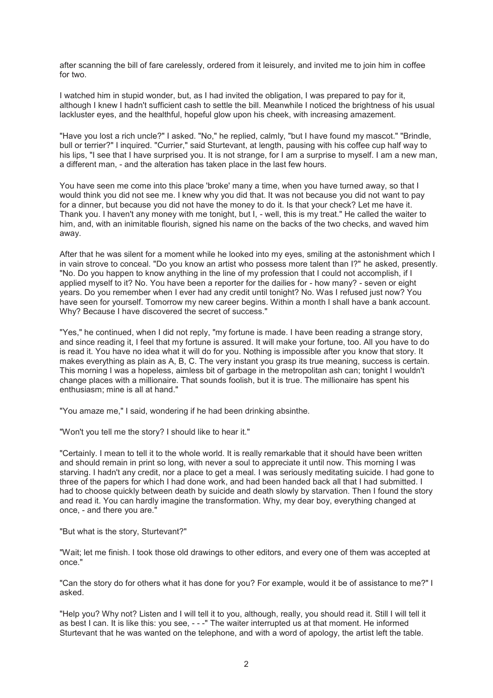after scanning the bill of fare carelessly, ordered from it leisurely, and invited me to join him in coffee for two.

I watched him in stupid wonder, but, as I had invited the obligation, I was prepared to pay for it, although I knew I hadn't sufficient cash to settle the bill. Meanwhile I noticed the brightness of his usual lackluster eyes, and the healthful, hopeful glow upon his cheek, with increasing amazement.

"Have you lost a rich uncle?" I asked. "No," he replied, calmly, "but I have found my mascot." "Brindle, bull or terrier?" I inquired. "Currier," said Sturtevant, at length, pausing with his coffee cup half way to his lips, "I see that I have surprised you. It is not strange, for I am a surprise to myself. I am a new man, a different man, - and the alteration has taken place in the last few hours.

You have seen me come into this place 'broke' many a time, when you have turned away, so that I would think you did not see me. I knew why you did that. It was not because you did not want to pay for a dinner, but because you did not have the money to do it. Is that your check? Let me have it. Thank you. I haven't any money with me tonight, but I, - well, this is my treat." He called the waiter to him, and, with an inimitable flourish, signed his name on the backs of the two checks, and waved him away.

After that he was silent for a moment while he looked into my eyes, smiling at the astonishment which I in vain strove to conceal. "Do you know an artist who possess more talent than I?" he asked, presently. "No. Do you happen to know anything in the line of my profession that I could not accomplish, if I applied myself to it? No. You have been a reporter for the dailies for - how many? - seven or eight years. Do you remember when I ever had any credit until tonight? No. Was I refused just now? You have seen for yourself. Tomorrow my new career begins. Within a month I shall have a bank account. Why? Because I have discovered the secret of success."

"Yes," he continued, when I did not reply, "my fortune is made. I have been reading a strange story, and since reading it, I feel that my fortune is assured. It will make your fortune, too. All you have to do is read it. You have no idea what it will do for you. Nothing is impossible after you know that story. It makes everything as plain as A, B, C. The very instant you grasp its true meaning, success is certain. This morning I was a hopeless, aimless bit of garbage in the metropolitan ash can; tonight I wouldn't change places with a millionaire. That sounds foolish, but it is true. The millionaire has spent his enthusiasm; mine is all at hand."

"You amaze me," I said, wondering if he had been drinking absinthe.

"Won't you tell me the story? I should like to hear it."

"Certainly. I mean to tell it to the whole world. It is really remarkable that it should have been written and should remain in print so long, with never a soul to appreciate it until now. This morning I was starving. I hadn't any credit, nor a place to get a meal. I was seriously meditating suicide. I had gone to three of the papers for which I had done work, and had been handed back all that I had submitted. I had to choose quickly between death by suicide and death slowly by starvation. Then I found the story and read it. You can hardly imagine the transformation. Why, my dear boy, everything changed at once, - and there you are."

"But what is the story, Sturtevant?"

"Wait; let me finish. I took those old drawings to other editors, and every one of them was accepted at once."

"Can the story do for others what it has done for you? For example, would it be of assistance to me?" I asked.

"Help you? Why not? Listen and I will tell it to you, although, really, you should read it. Still I will tell it as best I can. It is like this: you see, - - -" The waiter interrupted us at that moment. He informed Sturtevant that he was wanted on the telephone, and with a word of apology, the artist left the table.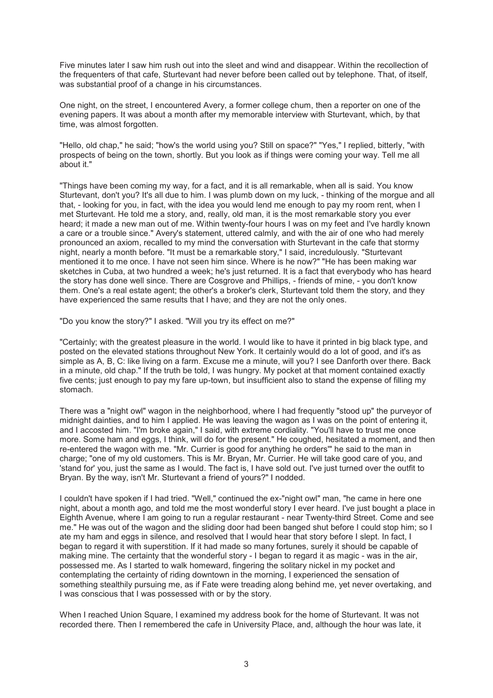Five minutes later I saw him rush out into the sleet and wind and disappear. Within the recollection of the frequenters of that cafe, Sturtevant had never before been called out by telephone. That, of itself, was substantial proof of a change in his circumstances.

One night, on the street, I encountered Avery, a former college chum, then a reporter on one of the evening papers. It was about a month after my memorable interview with Sturtevant, which, by that time, was almost forgotten.

"Hello, old chap," he said; "how's the world using you? Still on space?" "Yes," I replied, bitterly, "with prospects of being on the town, shortly. But you look as if things were coming your way. Tell me all about it."

"Things have been coming my way, for a fact, and it is all remarkable, when all is said. You know Sturtevant, don't you? It's all due to him. I was plumb down on my luck, - thinking of the morgue and all that, - looking for you, in fact, with the idea you would lend me enough to pay my room rent, when I met Sturtevant. He told me a story, and, really, old man, it is the most remarkable story you ever heard; it made a new man out of me. Within twenty-four hours I was on my feet and I've hardly known a care or a trouble since." Avery's statement, uttered calmly, and with the air of one who had merely pronounced an axiom, recalled to my mind the conversation with Sturtevant in the cafe that stormy night, nearly a month before. "It must be a remarkable story," I said, incredulously. "Sturtevant mentioned it to me once. I have not seen him since. Where is he now?" "He has been making war sketches in Cuba, at two hundred a week; he's just returned. It is a fact that everybody who has heard the story has done well since. There are Cosgrove and Phillips, - friends of mine, - you don't know them. One's a real estate agent; the other's a broker's clerk, Sturtevant told them the story, and they have experienced the same results that I have; and they are not the only ones.

"Do you know the story?" I asked. "Will you try its effect on me?"

"Certainly; with the greatest pleasure in the world. I would like to have it printed in big black type, and posted on the elevated stations throughout New York. It certainly would do a lot of good, and it's as simple as A, B, C: like living on a farm. Excuse me a minute, will you? I see Danforth over there. Back in a minute, old chap." If the truth be told, I was hungry. My pocket at that moment contained exactly five cents; just enough to pay my fare up-town, but insufficient also to stand the expense of filling my stomach.

There was a "night owl" wagon in the neighborhood, where I had frequently "stood up" the purveyor of midnight dainties, and to him I applied. He was leaving the wagon as I was on the point of entering it, and I accosted him. "I'm broke again," I said, with extreme cordiality. "You'll have to trust me once more. Some ham and eggs, I think, will do for the present." He coughed, hesitated a moment, and then re-entered the wagon with me. "Mr. Currier is good for anything he orders'" he said to the man in charge; "one of my old customers. This is Mr. Bryan, Mr. Currier. He will take good care of you, and 'stand for' you, just the same as I would. The fact is, I have sold out. I've just turned over the outfit to Bryan. By the way, isn't Mr. Sturtevant a friend of yours?" I nodded.

I couldn't have spoken if I had tried. "Well," continued the ex-"night owl" man, "he came in here one night, about a month ago, and told me the most wonderful story I ever heard. I've just bought a place in Eighth Avenue, where I am going to run a regular restaurant - near Twenty-third Street. Come and see me." He was out of the wagon and the sliding door had been banged shut before I could stop him; so I ate my ham and eggs in silence, and resolved that I would hear that story before I slept. In fact, I began to regard it with superstition. If it had made so many fortunes, surely it should be capable of making mine. The certainty that the wonderful story - I began to regard it as magic - was in the air, possessed me. As I started to walk homeward, fingering the solitary nickel in my pocket and contemplating the certainty of riding downtown in the morning, I experienced the sensation of something stealthily pursuing me, as if Fate were treading along behind me, yet never overtaking, and I was conscious that I was possessed with or by the story.

When I reached Union Square, I examined my address book for the home of Sturtevant. It was not recorded there. Then I remembered the cafe in University Place, and, although the hour was late, it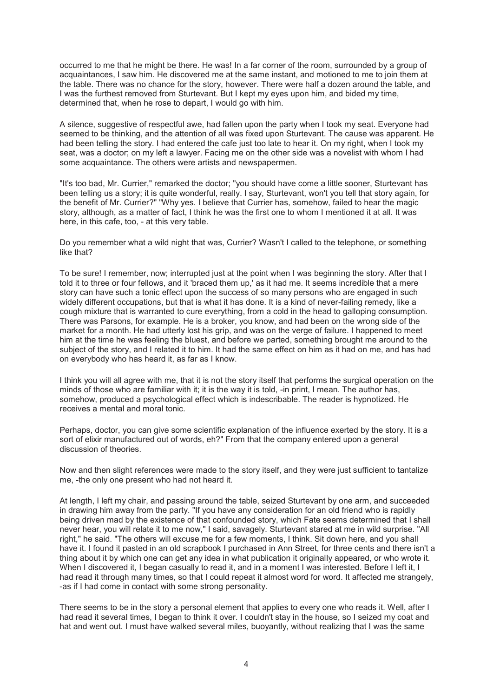occurred to me that he might be there. He was! In a far corner of the room, surrounded by a group of acquaintances, I saw him. He discovered me at the same instant, and motioned to me to join them at the table. There was no chance for the story, however. There were half a dozen around the table, and I was the furthest removed from Sturtevant. But I kept my eyes upon him, and bided my time, determined that, when he rose to depart, I would go with him.

A silence, suggestive of respectful awe, had fallen upon the party when I took my seat. Everyone had seemed to be thinking, and the attention of all was fixed upon Sturtevant. The cause was apparent. He had been telling the story. I had entered the cafe just too late to hear it. On my right, when I took my seat, was a doctor; on my left a lawyer. Facing me on the other side was a novelist with whom I had some acquaintance. The others were artists and newspapermen.

"It's too bad, Mr. Currier," remarked the doctor; "you should have come a little sooner, Sturtevant has been telling us a story; it is quite wonderful, really. I say, Sturtevant, won't you tell that story again, for the benefit of Mr. Currier?" "Why yes. I believe that Currier has, somehow, failed to hear the magic story, although, as a matter of fact, I think he was the first one to whom I mentioned it at all. It was here, in this cafe, too, - at this very table.

Do you remember what a wild night that was, Currier? Wasn't I called to the telephone, or something like that?

To be sure! I remember, now; interrupted just at the point when I was beginning the story. After that I told it to three or four fellows, and it 'braced them up,' as it had me. It seems incredible that a mere story can have such a tonic effect upon the success of so many persons who are engaged in such widely different occupations, but that is what it has done. It is a kind of never-failing remedy, like a cough mixture that is warranted to cure everything, from a cold in the head to galloping consumption. There was Parsons, for example. He is a broker, you know, and had been on the wrong side of the market for a month. He had utterly lost his grip, and was on the verge of failure. I happened to meet him at the time he was feeling the bluest, and before we parted, something brought me around to the subject of the story, and I related it to him. It had the same effect on him as it had on me, and has had on everybody who has heard it, as far as I know.

I think you will all agree with me, that it is not the story itself that performs the surgical operation on the minds of those who are familiar with it; it is the way it is told, -in print, I mean. The author has, somehow, produced a psychological effect which is indescribable. The reader is hypnotized. He receives a mental and moral tonic.

Perhaps, doctor, you can give some scientific explanation of the influence exerted by the story. It is a sort of elixir manufactured out of words, eh?" From that the company entered upon a general discussion of theories.

Now and then slight references were made to the story itself, and they were just sufficient to tantalize me, -the only one present who had not heard it.

At length, I left my chair, and passing around the table, seized Sturtevant by one arm, and succeeded in drawing him away from the party. "If you have any consideration for an old friend who is rapidly being driven mad by the existence of that confounded story, which Fate seems determined that I shall never hear, you will relate it to me now," I said, savagely. Sturtevant stared at me in wild surprise. "All right," he said. "The others will excuse me for a few moments, I think. Sit down here, and you shall have it. I found it pasted in an old scrapbook I purchased in Ann Street, for three cents and there isn't a thing about it by which one can get any idea in what publication it originally appeared, or who wrote it. When I discovered it, I began casually to read it, and in a moment I was interested. Before I left it, I had read it through many times, so that I could repeat it almost word for word. It affected me strangely, -as if I had come in contact with some strong personality.

There seems to be in the story a personal element that applies to every one who reads it. Well, after I had read it several times, I began to think it over. I couldn't stay in the house, so I seized my coat and hat and went out. I must have walked several miles, buoyantly, without realizing that I was the same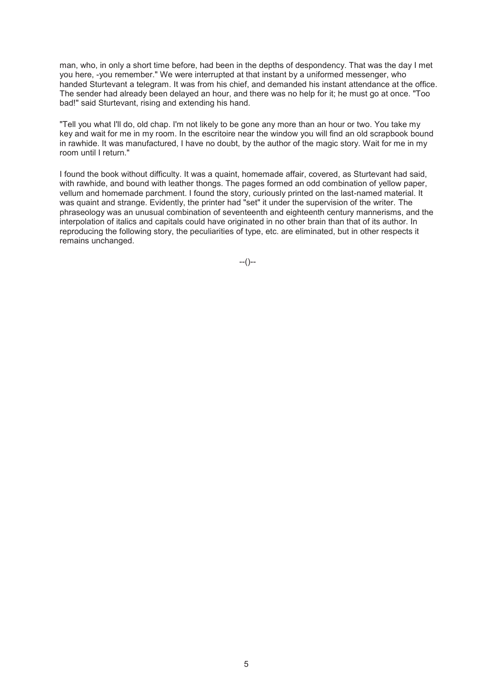man, who, in only a short time before, had been in the depths of despondency. That was the day I met you here, -you remember." We were interrupted at that instant by a uniformed messenger, who handed Sturtevant a telegram. It was from his chief, and demanded his instant attendance at the office. The sender had already been delayed an hour, and there was no help for it; he must go at once. "Too bad!" said Sturtevant, rising and extending his hand.

"Tell you what I'll do, old chap. I'm not likely to be gone any more than an hour or two. You take my key and wait for me in my room. In the escritoire near the window you will find an old scrapbook bound in rawhide. It was manufactured, I have no doubt, by the author of the magic story. Wait for me in my room until I return."

I found the book without difficulty. It was a quaint, homemade affair, covered, as Sturtevant had said, with rawhide, and bound with leather thongs. The pages formed an odd combination of yellow paper, vellum and homemade parchment. I found the story, curiously printed on the last-named material. It was quaint and strange. Evidently, the printer had "set" it under the supervision of the writer. The phraseology was an unusual combination of seventeenth and eighteenth century mannerisms, and the interpolation of italics and capitals could have originated in no other brain than that of its author. In reproducing the following story, the peculiarities of type, etc. are eliminated, but in other respects it remains unchanged.

 $-(-)$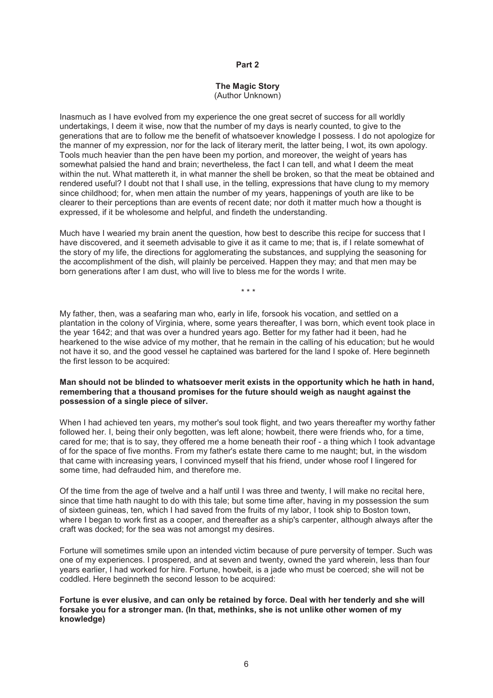### **Part 2**

#### **The Magic Story**  (Author Unknown)

Inasmuch as I have evolved from my experience the one great secret of success for all worldly undertakings, I deem it wise, now that the number of my days is nearly counted, to give to the generations that are to follow me the benefit of whatsoever knowledge I possess. I do not apologize for the manner of my expression, nor for the lack of literary merit, the latter being, I wot, its own apology. Tools much heavier than the pen have been my portion, and moreover, the weight of years has somewhat palsied the hand and brain; nevertheless, the fact I can tell, and what I deem the meat within the nut. What mattereth it, in what manner the shell be broken, so that the meat be obtained and rendered useful? I doubt not that I shall use, in the telling, expressions that have clung to my memory since childhood; for, when men attain the number of my years, happenings of youth are like to be clearer to their perceptions than are events of recent date; nor doth it matter much how a thought is expressed, if it be wholesome and helpful, and findeth the understanding.

Much have I wearied my brain anent the question, how best to describe this recipe for success that I have discovered, and it seemeth advisable to give it as it came to me; that is, if I relate somewhat of the story of my life, the directions for agglomerating the substances, and supplying the seasoning for the accomplishment of the dish, will plainly be perceived. Happen they may; and that men may be born generations after I am dust, who will live to bless me for the words I write.

*\* \* \**

My father, then, was a seafaring man who, early in life, forsook his vocation, and settled on a plantation in the colony of Virginia, where, some years thereafter, I was born, which event took place in the year 1642; and that was over a hundred years ago. Better for my father had it been, had he hearkened to the wise advice of my mother, that he remain in the calling of his education; but he would not have it so, and the good vessel he captained was bartered for the land I spoke of. Here beginneth the first lesson to be acquired:

#### **Man should not be blinded to whatsoever merit exists in the opportunity which he hath in hand, remembering that a thousand promises for the future should weigh as naught against the possession of a single piece of silver.**

When I had achieved ten years, my mother's soul took flight, and two years thereafter my worthy father followed her. I, being their only begotten, was left alone; howbeit, there were friends who, for a time, cared for me; that is to say, they offered me a home beneath their roof - a thing which I took advantage of for the space of five months. From my father's estate there came to me naught; but, in the wisdom that came with increasing years, I convinced myself that his friend, under whose roof I lingered for some time, had defrauded him, and therefore me.

Of the time from the age of twelve and a half until I was three and twenty, I will make no recital here, since that time hath naught to do with this tale; but some time after, having in my possession the sum of sixteen guineas, ten, which I had saved from the fruits of my labor, I took ship to Boston town, where I began to work first as a cooper, and thereafter as a ship's carpenter, although always after the craft was docked; for the sea was not amongst my desires.

Fortune will sometimes smile upon an intended victim because of pure perversity of temper. Such was one of my experiences. I prospered, and at seven and twenty, owned the yard wherein, less than four years earlier, I had worked for hire. Fortune, howbeit, is a jade who must be coerced; she will not be coddled. Here beginneth the second lesson to be acquired:

**Fortune is ever elusive, and can only be retained by force. Deal with her tenderly and she will forsake you for a stronger man. (In that, methinks, she is not unlike other women of my knowledge)**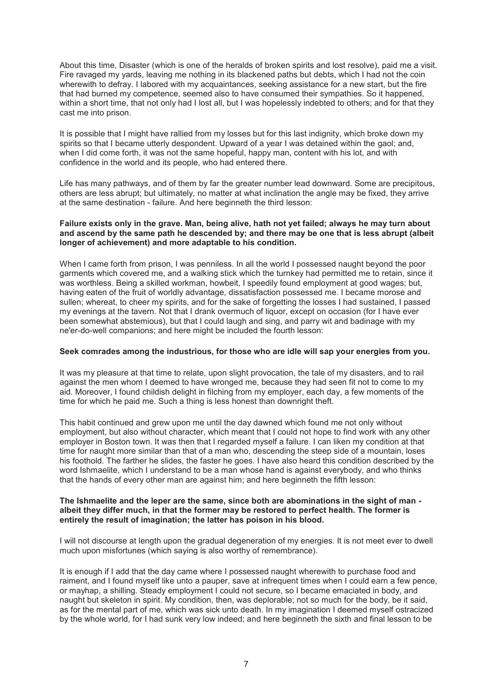About this time, Disaster (which is one of the heralds of broken spirits and lost resolve), paid me a visit. Fire ravaged my yards, leaving me nothing in its blackened paths but debts, which I had not the coin wherewith to defray. I labored with my acquaintances, seeking assistance for a new start, but the fire that had burned my competence, seemed also to have consumed their sympathies. So it happened, within a short time, that not only had I lost all, but I was hopelessly indebted to others; and for that they cast me into prison.

It is possible that I might have rallied from my losses but for this last indignity, which broke down my spirits so that I became utterly despondent. Upward of a year I was detained within the gaol; and, when I did come forth, it was not the same hopeful, happy man, content with his lot, and with confidence in the world and its people, who had entered there.

Life has many pathways, and of them by far the greater number lead downward. Some are precipitous, others are less abrupt; but ultimately, no matter at what inclination the angle may be fixed, they arrive at the same destination - failure. And here beginneth the third lesson:

### **Failure exists only in the grave. Man, being alive, hath not yet failed; always he may turn about and ascend by the same path he descended by; and there may be one that is less abrupt (albeit longer of achievement) and more adaptable to his condition.**

When I came forth from prison, I was penniless. In all the world I possessed naught beyond the poor garments which covered me, and a walking stick which the turnkey had permitted me to retain, since it was worthless. Being a skilled workman, howbeit, I speedily found employment at good wages; but, having eaten of the fruit of worldly advantage, dissatisfaction possessed me. I became morose and sullen; whereat, to cheer my spirits, and for the sake of forgetting the losses I had sustained, I passed my evenings at the tavern. Not that I drank overmuch of liquor, except on occasion (for I have ever been somewhat abstemious), but that I could laugh and sing, and parry wit and badinage with my ne'er-do-well companions; and here might be included the fourth lesson:

#### **Seek comrades among the industrious, for those who are idle will sap your energies from you.**

It was my pleasure at that time to relate, upon slight provocation, the tale of my disasters, and to rail against the men whom I deemed to have wronged me, because they had seen fit not to come to my aid. Moreover, I found childish delight in filching from my employer, each day, a few moments of the time for which he paid me. Such a thing is less honest than downright theft.

This habit continued and grew upon me until the day dawned which found me not only without employment, but also without character, which meant that I could not hope to find work with any other employer in Boston town. It was then that I regarded myself a failure. I can liken my condition at that time for naught more similar than that of a man who, descending the steep side of a mountain, loses his foothold. The farther he slides, the faster he goes. I have also heard this condition described by the word Ishmaelite, which I understand to be a man whose hand is against everybody, and who thinks that the hands of every other man are against him; and here beginneth the fifth lesson:

### **The Ishmaelite and the leper are the same, since both are abominations in the sight of man albeit they differ much, in that the former may be restored to perfect health. The former is entirely the result of imagination; the latter has poison in his blood.**

I will not discourse at length upon the gradual degeneration of my energies. It is not meet ever to dwell much upon misfortunes (which saying is also worthy of remembrance).

It is enough if I add that the day came where I possessed naught wherewith to purchase food and raiment, and I found myself like unto a pauper, save at infrequent times when I could earn a few pence, or mayhap, a shilling. Steady employment I could not secure, so I became emaciated in body, and naught but skeleton in spirit. My condition, then, was deplorable; not so much for the body, be it said, as for the mental part of me, which was sick unto death. In my imagination I deemed myself ostracized by the whole world, for I had sunk very low indeed; and here beginneth the sixth and final lesson to be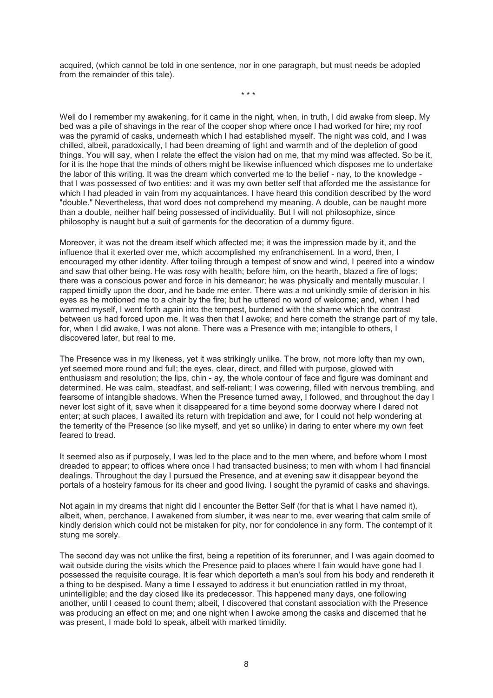acquired, (which cannot be told in one sentence, nor in one paragraph, but must needs be adopted from the remainder of this tale).

*\* \* \**

Well do I remember my awakening, for it came in the night, when, in truth, I did awake from sleep. My bed was a pile of shavings in the rear of the cooper shop where once I had worked for hire; my roof was the pyramid of casks, underneath which I had established myself. The night was cold, and I was chilled, albeit, paradoxically, I had been dreaming of light and warmth and of the depletion of good things. You will say, when I relate the effect the vision had on me, that my mind was affected. So be it, for it is the hope that the minds of others might be likewise influenced which disposes me to undertake the labor of this writing. It was the dream which converted me to the belief - nay, to the knowledge that I was possessed of two entities: and it was my own better self that afforded me the assistance for which I had pleaded in vain from my acquaintances. I have heard this condition described by the word "double." Nevertheless, that word does not comprehend my meaning. A double, can be naught more than a double, neither half being possessed of individuality. But I will not philosophize, since philosophy is naught but a suit of garments for the decoration of a dummy figure.

Moreover, it was not the dream itself which affected me; it was the impression made by it, and the influence that it exerted over me, which accomplished my enfranchisement. In a word, then, I encouraged my other identity. After toiling through a tempest of snow and wind, I peered into a window and saw that other being. He was rosy with health; before him, on the hearth, blazed a fire of logs; there was a conscious power and force in his demeanor; he was physically and mentally muscular. I rapped timidly upon the door, and he bade me enter. There was a not unkindly smile of derision in his eyes as he motioned me to a chair by the fire; but he uttered no word of welcome; and, when I had warmed myself, I went forth again into the tempest, burdened with the shame which the contrast between us had forced upon me. It was then that I awoke; and here cometh the strange part of my tale, for, when I did awake, I was not alone. There was a Presence with me; intangible to others, I discovered later, but real to me.

The Presence was in my likeness, yet it was strikingly unlike. The brow, not more lofty than my own, yet seemed more round and full; the eyes, clear, direct, and filled with purpose, glowed with enthusiasm and resolution; the lips, chin - ay, the whole contour of face and figure was dominant and determined. He was calm, steadfast, and self-reliant; I was cowering, filled with nervous trembling, and fearsome of intangible shadows. When the Presence turned away, I followed, and throughout the day I never lost sight of it, save when it disappeared for a time beyond some doorway where I dared not enter; at such places, I awaited its return with trepidation and awe, for I could not help wondering at the temerity of the Presence (so like myself, and yet so unlike) in daring to enter where my own feet feared to tread.

It seemed also as if purposely, I was led to the place and to the men where, and before whom I most dreaded to appear; to offices where once I had transacted business; to men with whom I had financial dealings. Throughout the day I pursued the Presence, and at evening saw it disappear beyond the portals of a hostelry famous for its cheer and good living. I sought the pyramid of casks and shavings.

Not again in my dreams that night did I encounter the Better Self (for that is what I have named it), albeit, when, perchance, I awakened from slumber, it was near to me, ever wearing that calm smile of kindly derision which could not be mistaken for pity, nor for condolence in any form. The contempt of it stung me sorely.

The second day was not unlike the first, being a repetition of its forerunner, and I was again doomed to wait outside during the visits which the Presence paid to places where I fain would have gone had I possessed the requisite courage. It is fear which deporteth a man's soul from his body and rendereth it a thing to be despised. Many a time I essayed to address it but enunciation rattled in my throat, unintelligible; and the day closed like its predecessor. This happened many days, one following another, until I ceased to count them; albeit, I discovered that constant association with the Presence was producing an effect on me; and one night when I awoke among the casks and discerned that he was present, I made bold to speak, albeit with marked timidity.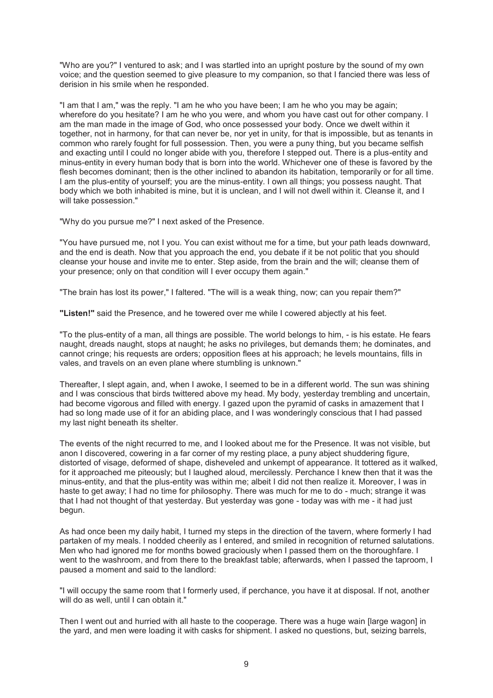"Who are you?" I ventured to ask; and I was startled into an upright posture by the sound of my own voice; and the question seemed to give pleasure to my companion, so that I fancied there was less of derision in his smile when he responded.

"I am that I am," was the reply. "I am he who you have been; I am he who you may be again; wherefore do you hesitate? I am he who you were, and whom you have cast out for other company. I am the man made in the image of God, who once possessed your body. Once we dwelt within it together, not in harmony, for that can never be, nor yet in unity, for that is impossible, but as tenants in common who rarely fought for full possession. Then, you were a puny thing, but you became selfish and exacting until I could no longer abide with you, therefore I stepped out. There is a plus-entity and minus-entity in every human body that is born into the world. Whichever one of these is favored by the flesh becomes dominant; then is the other inclined to abandon its habitation, temporarily or for all time. I am the plus-entity of yourself; you are the minus-entity. I own all things; you possess naught. That body which we both inhabited is mine, but it is unclean, and I will not dwell within it. Cleanse it, and I will take possession."

"Why do you pursue me?" I next asked of the Presence.

"You have pursued me, not I you. You can exist without me for a time, but your path leads downward, and the end is death. Now that you approach the end, you debate if it be not politic that you should cleanse your house and invite me to enter. Step aside, from the brain and the will; cleanse them of your presence; only on that condition will I ever occupy them again."

"The brain has lost its power," I faltered. "The will is a weak thing, now; can you repair them?"

**"Listen!"** said the Presence, and he towered over me while I cowered abjectly at his feet.

"To the plus-entity of a man, all things are possible. The world belongs to him, - is his estate. He fears naught, dreads naught, stops at naught; he asks no privileges, but demands them; he dominates, and cannot cringe; his requests are orders; opposition flees at his approach; he levels mountains, fills in vales, and travels on an even plane where stumbling is unknown."

Thereafter, I slept again, and, when I awoke, I seemed to be in a different world. The sun was shining and I was conscious that birds twittered above my head. My body, yesterday trembling and uncertain, had become vigorous and filled with energy. I gazed upon the pyramid of casks in amazement that I had so long made use of it for an abiding place, and I was wonderingly conscious that I had passed my last night beneath its shelter.

The events of the night recurred to me, and I looked about me for the Presence. It was not visible, but anon I discovered, cowering in a far corner of my resting place, a puny abject shuddering figure, distorted of visage, deformed of shape, disheveled and unkempt of appearance. It tottered as it walked, for it approached me piteously; but I laughed aloud, mercilessly. Perchance I knew then that it was the minus-entity, and that the plus-entity was within me; albeit I did not then realize it. Moreover, I was in haste to get away; I had no time for philosophy. There was much for me to do - much; strange it was that I had not thought of that yesterday. But yesterday was gone - today was with me - it had just begun.

As had once been my daily habit, I turned my steps in the direction of the tavern, where formerly I had partaken of my meals. I nodded cheerily as I entered, and smiled in recognition of returned salutations. Men who had ignored me for months bowed graciously when I passed them on the thoroughfare. I went to the washroom, and from there to the breakfast table; afterwards, when I passed the taproom, I paused a moment and said to the landlord:

"I will occupy the same room that I formerly used, if perchance, you have it at disposal. If not, another will do as well, until I can obtain it."

Then I went out and hurried with all haste to the cooperage. There was a huge wain [large wagon] in the yard, and men were loading it with casks for shipment. I asked no questions, but, seizing barrels,